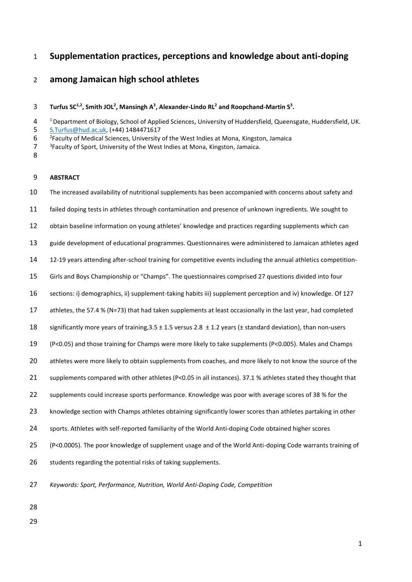# **Supplementation practices, perceptions and knowledge about anti-doping**

# **among Jamaican high school athletes**

**Turfus SC1,2, Smith JOL 2 , Mansingh A<sup>3</sup> , Alexander-Lindo RL<sup>2</sup> and Roopchand-Martin S<sup>3</sup> .**

<sup>1</sup> Department of Biology, School of Applied Sciences, University of Huddersfield, Queensgate, Huddersfield, UK. [S.Turfus@hud.ac.uk,](mailto:S.Turfus@hud.ac.uk) (+44) 1484471617

6 Faculty of Medical Sciences, University of the West Indies at Mona, Kingston, Jamaica

<sup>3</sup> Faculty of Sport, University of the West Indies at Mona, Kingston, Jamaica.

## **ABSTRACT**

 The increased availability of nutritional supplements has been accompanied with concerns about safety and failed doping tests in athletes through contamination and presence of unknown ingredients. We sought to obtain baseline information on young athletes' knowledge and practices regarding supplements which can guide development of educational programmes. Questionnaires were administered to Jamaican athletes aged 12-19 years attending after-school training for competitive events including the annual athletics competition- Girls and Boys Championship or "Champs". The questionnaires comprised 27 questions divided into four sections: i) demographics, ii) supplement-taking habits iii) supplement perception and iv) knowledge. Of 127 athletes, the 57.4 % (N=73) that had taken supplements at least occasionally in the last year, had completed 18 significantly more years of training, 3.5  $\pm$  1.5 versus 2.8  $\pm$  1.2 years ( $\pm$  standard deviation), than non-users (P<0.05) and those training for Champs were more likely to take supplements (P<0.005). Males and Champs athletes were more likely to obtain supplements from coaches, and more likely to not know the source of the 21 supplements compared with other athletes (P<0.05 in all instances). 37.1 % athletes stated they thought that supplements could increase sports performance. Knowledge was poor with average scores of 38 % for the knowledge section with Champs athletes obtaining significantly lower scores than athletes partaking in other sports. Athletes with self-reported familiarity of the World Anti-doping Code obtained higher scores (P<0.0005). The poor knowledge of supplement usage and of the World Anti-doping Code warrants training of students regarding the potential risks of taking supplements.

*Keywords: Sport, Performance, Nutrition, World Anti-Doping Code, Competition*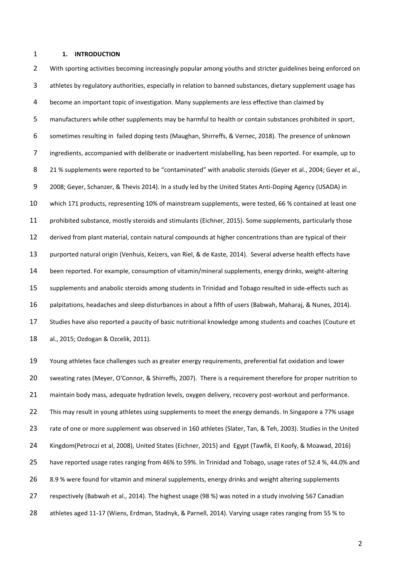#### **1. INTRODUCTION**

2 With sporting activities becoming increasingly popular among youths and stricter guidelines being enforced on athletes by regulatory authorities, especially in relation to banned substances, dietary supplement usage has become an important topic of investigation. Many supplements are less effective than claimed by manufacturers while other supplements may be harmful to health or contain substances prohibited in sport, sometimes resulting in failed doping tests (Maughan, Shirreffs, & Vernec, 2018). The presence of unknown ingredients, accompanied with deliberate or inadvertent mislabelling, has been reported. For example, up to 21 % supplements were reported to be "contaminated" with anabolic steroids (Geyer et al., 2004; Geyer et al., 2008; Geyer, Schanzer, & Thevis 2014). In a study led by the United States Anti-Doping Agency (USADA) in which 171 products, representing 10% of mainstream supplements, were tested, 66 % contained at least one prohibited substance, mostly steroids and stimulants (Eichner, 2015). Some supplements, particularly those derived from plant material, contain natural compounds at higher concentrations than are typical of their purported natural origin (Venhuis, Keizers, van Riel, & de Kaste, 2014). Several adverse health effects have been reported. For example, consumption of vitamin/mineral supplements, energy drinks, weight-altering supplements and anabolic steroids among students in Trinidad and Tobago resulted in side-effects such as palpitations, headaches and sleep disturbances in about a fifth of users (Babwah, Maharaj, & Nunes, 2014). Studies have also reported a paucity of basic nutritional knowledge among students and coaches (Couture et al., 2015; Ozdogan & Ozcelik, 2011).

 Young athletes face challenges such as greater energy requirements, preferential fat oxidation and lower sweating rates (Meyer, O'Connor, & Shirreffs, 2007). There is a requirement therefore for proper nutrition to maintain body mass, adequate hydration levels, oxygen delivery, recovery post-workout and performance. 22 This may result in young athletes using supplements to meet the energy demands. In Singapore a 77% usage rate of one or more supplement was observed in 160 athletes (Slater, Tan, & Teh, 2003). Studies in the United Kingdom(Petroczi et al, 2008), United States (Eichner, 2015) and Egypt (Tawfik, El Koofy, & Moawad, 2016) have reported usage rates ranging from 46% to 59%. In Trinidad and Tobago, usage rates of 52.4 %, 44.0% and 8.9 % were found for vitamin and mineral supplements, energy drinks and weight altering supplements respectively (Babwah et al., 2014). The highest usage (98 %) was noted in a study involving 567 Canadian athletes aged 11-17 (Wiens, Erdman, Stadnyk, & Parnell, 2014). Varying usage rates ranging from 55 % to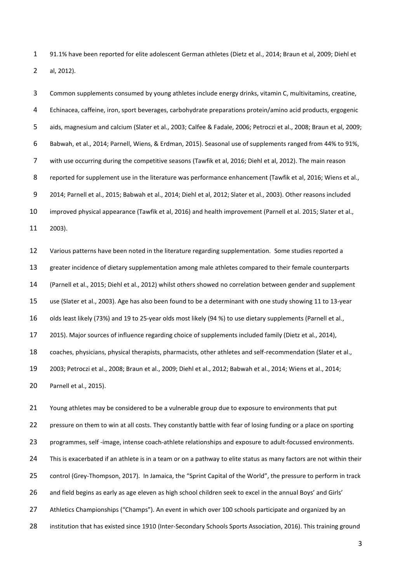91.1% have been reported for elite adolescent German athletes (Dietz et al., 2014; Braun et al, 2009; Diehl et al, 2012).

Common supplements consumed by young athletes include energy drinks, vitamin C, multivitamins, creatine,

 Echinacea, caffeine, iron, sport beverages, carbohydrate preparations protein/amino acid products, ergogenic aids, magnesium and calcium (Slater et al., 2003; Calfee & Fadale, 2006; Petroczi et al., 2008; Braun et al, 2009; Babwah, et al., 2014; Parnell, Wiens, & Erdman, 2015). Seasonal use of supplements ranged from 44% to 91%, with use occurring during the competitive seasons (Tawfik et al, 2016; Diehl et al, 2012). The main reason reported for supplement use in the literature was performance enhancement (Tawfik et al, 2016; Wiens et al., 2014; Parnell et al., 2015; Babwah et al., 2014; Diehl et al, 2012; Slater et al., 2003). Other reasons included improved physical appearance (Tawfik et al, 2016) and health improvement (Parnell et al. 2015; Slater et al.,

2003).

 Various patterns have been noted in the literature regarding supplementation. Some studies reported a greater incidence of dietary supplementation among male athletes compared to their female counterparts (Parnell et al., 2015; Diehl et al., 2012) whilst others showed no correlation between gender and supplement use (Slater et al., 2003). Age has also been found to be a determinant with one study showing 11 to 13-year olds least likely (73%) and 19 to 25-year olds most likely (94 %) to use dietary supplements (Parnell et al., 2015). Major sources of influence regarding choice of supplements included family (Dietz et al., 2014), coaches, physicians, physical therapists, pharmacists, other athletes and self-recommendation (Slater et al., 2003; Petroczi et al., 2008; Braun et al., 2009; Diehl et al., 2012; Babwah et al., 2014; Wiens et al., 2014; Parnell et al., 2015).

 Young athletes may be considered to be a vulnerable group due to exposure to environments that put 22 pressure on them to win at all costs. They constantly battle with fear of losing funding or a place on sporting programmes, self -image, intense coach-athlete relationships and exposure to adult-focussed environments. 24 This is exacerbated if an athlete is in a team or on a pathway to elite status as many factors are not within their control (Grey-Thompson, 2017). In Jamaica, the "Sprint Capital of the World", the pressure to perform in track and field begins as early as age eleven as high school children seek to excel in the annual Boys' and Girls' Athletics Championships ("Champs"). An event in which over 100 schools participate and organized by an institution that has existed since 1910 (Inter-Secondary Schools Sports Association, 2016). This training ground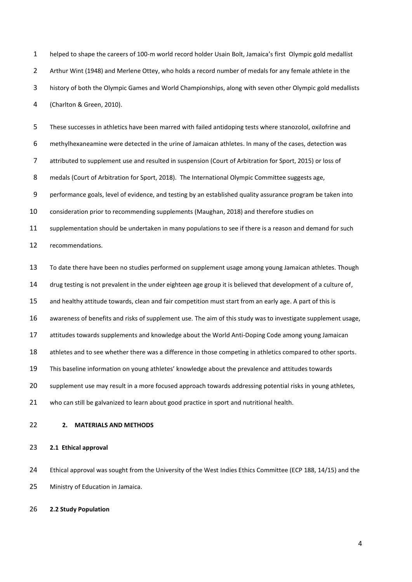helped to shape the careers of 100-m world record holder Usain Bolt, Jamaica's first Olympic gold medallist Arthur Wint (1948) and Merlene Ottey, who holds a record number of medals for any female athlete in the history of both the Olympic Games and World Championships, along with seven other Olympic gold medallists (Charlton & Green, 2010).

 These successes in athletics have been marred with failed antidoping tests where stanozolol, oxilofrine and methylhexaneamine were detected in the urine of Jamaican athletes. In many of the cases, detection was attributed to supplement use and resulted in suspension (Court of Arbitration for Sport, 2015) or loss of medals (Court of Arbitration for Sport, 2018). The International Olympic Committee suggests age, performance goals, level of evidence, and testing by an established quality assurance program be taken into consideration prior to recommending supplements (Maughan, 2018) and therefore studies on supplementation should be undertaken in many populations to see if there is a reason and demand for such recommendations. To date there have been no studies performed on supplement usage among young Jamaican athletes. Though drug testing is not prevalent in the under eighteen age group it is believed that development of a culture of,

and healthy attitude towards, clean and fair competition must start from an early age. A part of this is

awareness of benefits and risks of supplement use. The aim of this study was to investigate supplement usage,

attitudes towards supplements and knowledge about the World Anti-Doping Code among young Jamaican

athletes and to see whether there was a difference in those competing in athletics compared to other sports.

This baseline information on young athletes' knowledge about the prevalence and attitudes towards

supplement use may result in a more focused approach towards addressing potential risks in young athletes,

21 who can still be galvanized to learn about good practice in sport and nutritional health.

**2. MATERIALS AND METHODS**

#### **2.1 Ethical approval**

 Ethical approval was sought from the University of the West Indies Ethics Committee (ECP 188, 14/15) and the Ministry of Education in Jamaica.

**2.2 Study Population**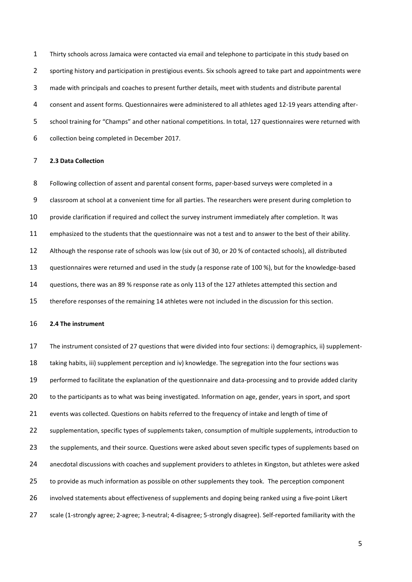Thirty schools across Jamaica were contacted via email and telephone to participate in this study based on sporting history and participation in prestigious events. Six schools agreed to take part and appointments were made with principals and coaches to present further details, meet with students and distribute parental consent and assent forms. Questionnaires were administered to all athletes aged 12-19 years attending after- school training for "Champs" and other national competitions. In total, 127 questionnaires were returned with collection being completed in December 2017.

#### **2.3 Data Collection**

 Following collection of assent and parental consent forms, paper-based surveys were completed in a classroom at school at a convenient time for all parties. The researchers were present during completion to provide clarification if required and collect the survey instrument immediately after completion. It was emphasized to the students that the questionnaire was not a test and to answer to the best of their ability. Although the response rate of schools was low (six out of 30, or 20 % of contacted schools), all distributed questionnaires were returned and used in the study (a response rate of 100 %), but for the knowledge-based questions, there was an 89 % response rate as only 113 of the 127 athletes attempted this section and therefore responses of the remaining 14 athletes were not included in the discussion for this section.

#### **2.4 The instrument**

 The instrument consisted of 27 questions that were divided into four sections: i) demographics, ii) supplement- taking habits, iii) supplement perception and iv) knowledge. The segregation into the four sections was performed to facilitate the explanation of the questionnaire and data-processing and to provide added clarity to the participants as to what was being investigated. Information on age, gender, years in sport, and sport events was collected. Questions on habits referred to the frequency of intake and length of time of supplementation, specific types of supplements taken, consumption of multiple supplements, introduction to the supplements, and their source. Questions were asked about seven specific types of supplements based on anecdotal discussions with coaches and supplement providers to athletes in Kingston, but athletes were asked to provide as much information as possible on other supplements they took. The perception component involved statements about effectiveness of supplements and doping being ranked using a five-point Likert scale (1-strongly agree; 2-agree; 3-neutral; 4-disagree; 5-strongly disagree). Self-reported familiarity with the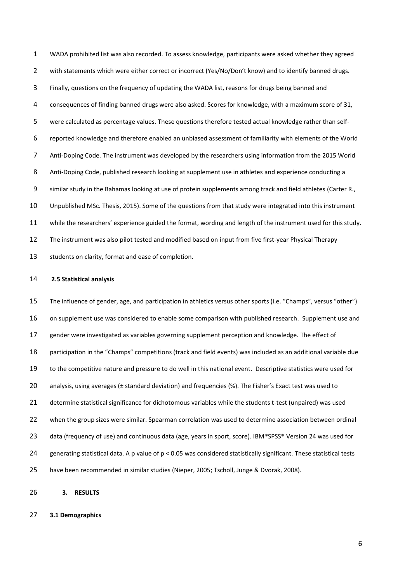WADA prohibited list was also recorded. To assess knowledge, participants were asked whether they agreed with statements which were either correct or incorrect (Yes/No/Don't know) and to identify banned drugs. Finally, questions on the frequency of updating the WADA list, reasons for drugs being banned and consequences of finding banned drugs were also asked. Scores for knowledge, with a maximum score of 31, were calculated as percentage values. These questions therefore tested actual knowledge rather than self- reported knowledge and therefore enabled an unbiased assessment of familiarity with elements of the World Anti-Doping Code. The instrument was developed by the researchers using information from the 2015 World Anti-Doping Code, published research looking at supplement use in athletes and experience conducting a similar study in the Bahamas looking at use of protein supplements among track and field athletes (Carter R., Unpublished MSc. Thesis, 2015). Some of the questions from that study were integrated into this instrument while the researchers' experience guided the format, wording and length of the instrument used for this study. The instrument was also pilot tested and modified based on input from five first-year Physical Therapy students on clarity, format and ease of completion.

#### **2.5 Statistical analysis**

 The influence of gender, age, and participation in athletics versus other sports (i.e. "Champs", versus "other") on supplement use was considered to enable some comparison with published research. Supplement use and gender were investigated as variables governing supplement perception and knowledge. The effect of participation in the "Champs" competitions (track and field events) was included as an additional variable due to the competitive nature and pressure to do well in this national event. Descriptive statistics were used for analysis, using averages (± standard deviation) and frequencies (%). The Fisher's Exact test was used to determine statistical significance for dichotomous variables while the students t-test (unpaired) was used when the group sizes were similar. Spearman correlation was used to determine association between ordinal 23 data (frequency of use) and continuous data (age, years in sport, score). IBM®SPSS® Version 24 was used for generating statistical data. A p value of p < 0.05 was considered statistically significant. These statistical tests have been recommended in similar studies (Nieper, 2005; Tscholl, Junge & Dvorak, 2008).

#### **3. RESULTS**

#### **3.1 Demographics**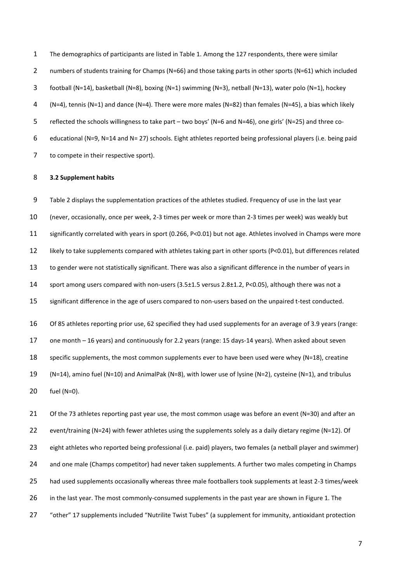The demographics of participants are listed in Table 1. Among the 127 respondents, there were similar 2 numbers of students training for Champs (N=66) and those taking parts in other sports (N=61) which included football (N=14), basketball (N=8), boxing (N=1) swimming (N=3), netball (N=13), water polo (N=1), hockey (N=4), tennis (N=1) and dance (N=4). There were more males (N=82) than females (N=45), a bias which likely reflected the schools willingness to take part – two boys' (N=6 and N=46), one girls' (N=25) and three co- educational (N=9, N=14 and N= 27) schools. Eight athletes reported being professional players (i.e. being paid to compete in their respective sport).

### **3.2 Supplement habits**

 Table 2 displays the supplementation practices of the athletes studied. Frequency of use in the last year (never, occasionally, once per week, 2-3 times per week or more than 2-3 times per week) was weakly but significantly correlated with years in sport (0.266, P<0.01) but not age. Athletes involved in Champs were more likely to take supplements compared with athletes taking part in other sports (P<0.01), but differences related to gender were not statistically significant. There was also a significant difference in the number of years in sport among users compared with non-users (3.5±1.5 versus 2.8±1.2, P<0.05), although there was not a significant difference in the age of users compared to non-users based on the unpaired t-test conducted. Of 85 athletes reporting prior use, 62 specified they had used supplements for an average of 3.9 years (range: one month – 16 years) and continuously for 2.2 years (range: 15 days-14 years). When asked about seven 18 specific supplements, the most common supplements ever to have been used were whey (N=18), creatine (N=14), amino fuel (N=10) and AnimalPak (N=8), with lower use of lysine (N=2), cysteine (N=1), and tribulus fuel (N=0).

21 Of the 73 athletes reporting past year use, the most common usage was before an event (N=30) and after an event/training (N=24) with fewer athletes using the supplements solely as a daily dietary regime (N=12). Of eight athletes who reported being professional (i.e. paid) players, two females (a netball player and swimmer) 24 and one male (Champs competitor) had never taken supplements. A further two males competing in Champs had used supplements occasionally whereas three male footballers took supplements at least 2-3 times/week in the last year. The most commonly-consumed supplements in the past year are shown in Figure 1. The "other" 17 supplements included "Nutrilite Twist Tubes" (a supplement for immunity, antioxidant protection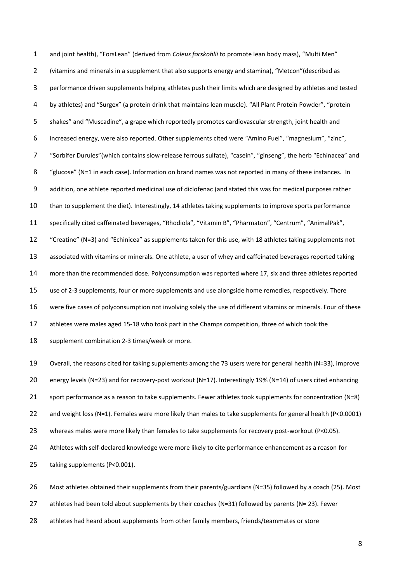and joint health), "ForsLean" (derived from *Coleus forskohlii* to promote lean body mass), "Multi Men" (vitamins and minerals in a supplement that also supports energy and stamina), "Metcon"(described as performance driven supplements helping athletes push their limits which are designed by athletes and tested by athletes) and "Surgex" (a protein drink that maintains lean muscle). "All Plant Protein Powder", "protein shakes" and "Muscadine", a grape which reportedly promotes cardiovascular strength, joint health and increased energy, were also reported. Other supplements cited were "Amino Fuel", "magnesium", "zinc", "Sorbifer Durules"(which contains slow-release ferrous sulfate), "casein", "ginseng", the herb "Echinacea" and "glucose" (N=1 in each case). Information on brand names was not reported in many of these instances. In addition, one athlete reported medicinal use of diclofenac (and stated this was for medical purposes rather than to supplement the diet). Interestingly, 14 athletes taking supplements to improve sports performance specifically cited caffeinated beverages, "Rhodiola", "Vitamin B", "Pharmaton", "Centrum", "AnimalPak", "Creatine" (N=3) and "Echinicea" as supplements taken for this use, with 18 athletes taking supplements not associated with vitamins or minerals. One athlete, a user of whey and caffeinated beverages reported taking more than the recommended dose. Polyconsumption was reported where 17, six and three athletes reported use of 2-3 supplements, four or more supplements and use alongside home remedies, respectively. There were five cases of polyconsumption not involving solely the use of different vitamins or minerals. Four of these athletes were males aged 15-18 who took part in the Champs competition, three of which took the supplement combination 2-3 times/week or more.

 Overall, the reasons cited for taking supplements among the 73 users were for general health (N=33), improve energy levels (N=23) and for recovery-post workout (N=17). Interestingly 19% (N=14) of users cited enhancing 21 sport performance as a reason to take supplements. Fewer athletes took supplements for concentration  $(N=8)$ 22 and weight loss (N=1). Females were more likely than males to take supplements for general health (P<0.0001) whereas males were more likely than females to take supplements for recovery post-workout (P<0.05). Athletes with self-declared knowledge were more likely to cite performance enhancement as a reason for taking supplements (P<0.001).

26 Most athletes obtained their supplements from their parents/guardians (N=35) followed by a coach (25). Most

27 athletes had been told about supplements by their coaches (N=31) followed by parents (N= 23). Fewer

28 athletes had heard about supplements from other family members, friends/teammates or store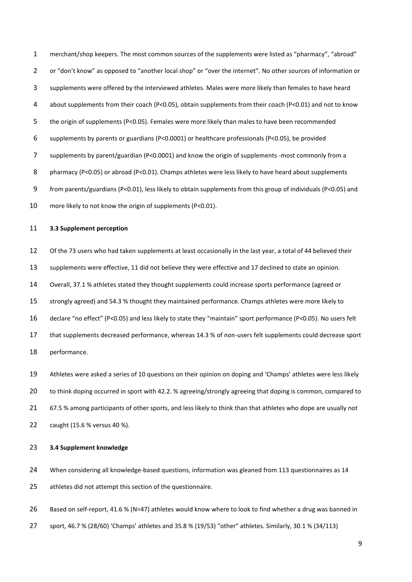merchant/shop keepers. The most common sources of the supplements were listed as "pharmacy", "abroad" 2 or "don't know" as opposed to "another local shop" or "over the internet". No other sources of information or supplements were offered by the interviewed athletes. Males were more likely than females to have heard about supplements from their coach (P<0.05), obtain supplements from their coach (P<0.01) and not to know the origin of supplements (P<0.05). Females were more likely than males to have been recommended supplements by parents or guardians (P<0.0001) or healthcare professionals (P<0.05), be provided 7 supplements by parent/guardian (P<0.0001) and know the origin of supplements -most commonly from a 8 pharmacy (P<0.05) or abroad (P<0.01). Champs athletes were less likely to have heard about supplements from parents/guardians (P<0.01), less likely to obtain supplements from this group of individuals (P<0.05) and more likely to not know the origin of supplements (P<0.01).

#### **3.3 Supplement perception**

Of the 73 users who had taken supplements at least occasionally in the last year, a total of 44 believed their

supplements were effective, 11 did not believe they were effective and 17 declined to state an opinion.

Overall, 37.1 % athletes stated they thought supplements could increase sports performance (agreed or

strongly agreed) and 54.3 % thought they maintained performance. Champs athletes were more likely to

declare "no effect" (P<0.05) and less likely to state they "maintain" sport performance (P<0.05). No users felt

that supplements decreased performance, whereas 14.3 % of non-users felt supplements could decrease sport

performance.

 Athletes were asked a series of 10 questions on their opinion on doping and 'Champs' athletes were less likely to think doping occurred in sport with 42.2. % agreeing/strongly agreeing that doping is common, compared to 67.5 % among participants of other sports, and less likely to think than that athletes who dope are usually not caught (15.6 % versus 40 %).

#### **3.4 Supplement knowledge**

 When considering all knowledge-based questions, information was gleaned from 113 questionnaires as 14 athletes did not attempt this section of the questionnaire.

Based on self-report, 41.6 % (N=47) athletes would know where to look to find whether a drug was banned in

sport, 46.7 % (28/60) 'Champs' athletes and 35.8 % (19/53) "other" athletes. Similarly, 30.1 % (34/113)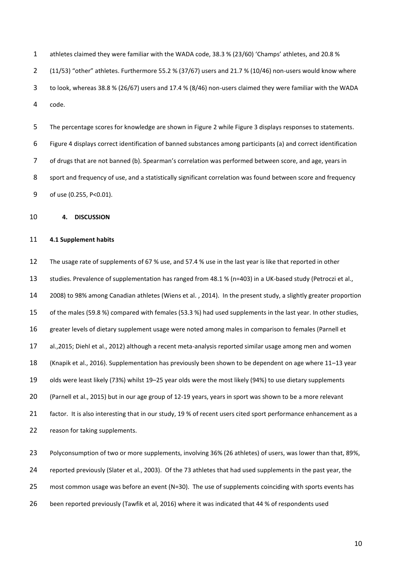athletes claimed they were familiar with the WADA code, 38.3 % (23/60) 'Champs' athletes, and 20.8 % (11/53) "other" athletes. Furthermore 55.2 % (37/67) users and 21.7 % (10/46) non-users would know where to look, whereas 38.8 % (26/67) users and 17.4 % (8/46) non-users claimed they were familiar with the WADA code.

 The percentage scores for knowledge are shown in Figure 2 while Figure 3 displays responses to statements. Figure 4 displays correct identification of banned substances among participants (a) and correct identification of drugs that are not banned (b). Spearman's correlation was performed between score, and age, years in sport and frequency of use, and a statistically significant correlation was found between score and frequency of use (0.255, P<0.01).

**4. DISCUSSION**

#### **4.1 Supplement habits**

 The usage rate of supplements of 67 % use, and 57.4 % use in the last year is like that reported in other studies. Prevalence of supplementation has ranged from 48.1 % (n=403) in a UK-based study (Petroczi et al., 2008) to 98% among Canadian athletes (Wiens et al. , 2014). In the present study, a slightly greater proportion of the males (59.8 %) compared with females (53.3 %) had used supplements in the last year. In other studies, greater levels of dietary supplement usage were noted among males in comparison to females (Parnell et al.,2015; Diehl et al., 2012) although a recent meta-analysis reported similar usage among men and women (Knapik et al., 2016). Supplementation has previously been shown to be dependent on age where 11–13 year olds were least likely (73%) whilst 19–25 year olds were the most likely (94%) to use dietary supplements (Parnell et al., 2015) but in our age group of 12-19 years, years in sport was shown to be a more relevant 21 factor. It is also interesting that in our study, 19 % of recent users cited sport performance enhancement as a reason for taking supplements. Polyconsumption of two or more supplements, involving 36% (26 athletes) of users, was lower than that, 89%, reported previously (Slater et al., 2003). Of the 73 athletes that had used supplements in the past year, the

25 most common usage was before an event (N=30). The use of supplements coinciding with sports events has

been reported previously (Tawfik et al, 2016) where it was indicated that 44 % of respondents used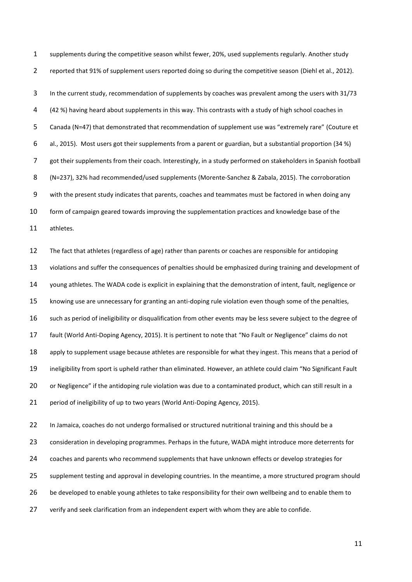supplements during the competitive season whilst fewer, 20%, used supplements regularly. Another study reported that 91% of supplement users reported doing so during the competitive season (Diehl et al., 2012).

 In the current study, recommendation of supplements by coaches was prevalent among the users with 31/73 (42 %) having heard about supplements in this way. This contrasts with a study of high school coaches in Canada (N=47) that demonstrated that recommendation of supplement use was "extremely rare" (Couture et al., 2015). Most users got their supplements from a parent or guardian, but a substantial proportion (34 %) 7 got their supplements from their coach. Interestingly, in a study performed on stakeholders in Spanish football (N=237), 32% had recommended/used supplements (Morente-Sanchez & Zabala, 2015). The corroboration with the present study indicates that parents, coaches and teammates must be factored in when doing any form of campaign geared towards improving the supplementation practices and knowledge base of the athletes.

 The fact that athletes (regardless of age) rather than parents or coaches are responsible for antidoping violations and suffer the consequences of penalties should be emphasized during training and development of young athletes. The WADA code is explicit in explaining that the demonstration of intent, fault, negligence or knowing use are unnecessary for granting an anti-doping rule violation even though some of the penalties, such as period of ineligibility or disqualification from other events may be less severe subject to the degree of fault (World Anti-Doping Agency, 2015). It is pertinent to note that "No Fault or Negligence" claims do not apply to supplement usage because athletes are responsible for what they ingest. This means that a period of ineligibility from sport is upheld rather than eliminated. However, an athlete could claim "No Significant Fault or Negligence" if the antidoping rule violation was due to a contaminated product, which can still result in a 21 period of ineligibility of up to two years (World Anti-Doping Agency, 2015).

 In Jamaica, coaches do not undergo formalised or structured nutritional training and this should be a consideration in developing programmes. Perhaps in the future, WADA might introduce more deterrents for 24 coaches and parents who recommend supplements that have unknown effects or develop strategies for supplement testing and approval in developing countries. In the meantime, a more structured program should be developed to enable young athletes to take responsibility for their own wellbeing and to enable them to verify and seek clarification from an independent expert with whom they are able to confide.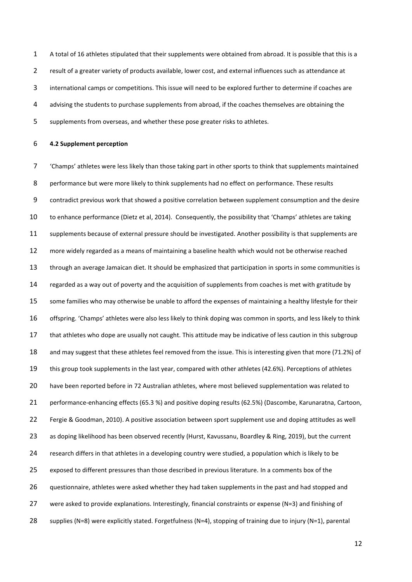A total of 16 athletes stipulated that their supplements were obtained from abroad. It is possible that this is a result of a greater variety of products available, lower cost, and external influences such as attendance at international camps or competitions. This issue will need to be explored further to determine if coaches are advising the students to purchase supplements from abroad, if the coaches themselves are obtaining the supplements from overseas, and whether these pose greater risks to athletes.

#### **4.2 Supplement perception**

 'Champs' athletes were less likely than those taking part in other sports to think that supplements maintained performance but were more likely to think supplements had no effect on performance. These results contradict previous work that showed a positive correlation between supplement consumption and the desire to enhance performance (Dietz et al, 2014). Consequently, the possibility that 'Champs' athletes are taking supplements because of external pressure should be investigated. Another possibility is that supplements are more widely regarded as a means of maintaining a baseline health which would not be otherwise reached through an average Jamaican diet. It should be emphasized that participation in sports in some communities is regarded as a way out of poverty and the acquisition of supplements from coaches is met with gratitude by some families who may otherwise be unable to afford the expenses of maintaining a healthy lifestyle for their offspring. 'Champs' athletes were also less likely to think doping was common in sports, and less likely to think that athletes who dope are usually not caught. This attitude may be indicative of less caution in this subgroup and may suggest that these athletes feel removed from the issue. This is interesting given that more (71.2%) of this group took supplements in the last year, compared with other athletes (42.6%). Perceptions of athletes 20 have been reported before in 72 Australian athletes, where most believed supplementation was related to performance-enhancing effects (65.3 %) and positive doping results (62.5%) (Dascombe, Karunaratna, Cartoon, Fergie & Goodman, 2010). A positive association between sport supplement use and doping attitudes as well as doping likelihood has been observed recently (Hurst, Kavussanu, Boardley & Ring, 2019), but the current research differs in that athletes in a developing country were studied, a population which is likely to be exposed to different pressures than those described in previous literature. In a comments box of the questionnaire, athletes were asked whether they had taken supplements in the past and had stopped and were asked to provide explanations. Interestingly, financial constraints or expense (N=3) and finishing of supplies (N=8) were explicitly stated. Forgetfulness (N=4), stopping of training due to injury (N=1), parental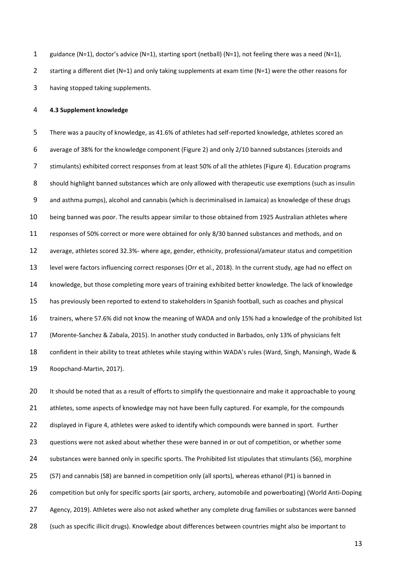guidance (N=1), doctor's advice (N=1), starting sport (netball) (N=1), not feeling there was a need (N=1), 2 starting a different diet (N=1) and only taking supplements at exam time (N=1) were the other reasons for having stopped taking supplements.

#### **4.3 Supplement knowledge**

 There was a paucity of knowledge, as 41.6% of athletes had self-reported knowledge, athletes scored an average of 38% for the knowledge component (Figure 2) and only 2/10 banned substances (steroids and stimulants) exhibited correct responses from at least 50% of all the athletes (Figure 4). Education programs should highlight banned substances which are only allowed with therapeutic use exemptions (such as insulin and asthma pumps), alcohol and cannabis (which is decriminalised in Jamaica) as knowledge of these drugs being banned was poor. The results appear similar to those obtained from 1925 Australian athletes where responses of 50% correct or more were obtained for only 8/30 banned substances and methods, and on average, athletes scored 32.3%- where age, gender, ethnicity, professional/amateur status and competition level were factors influencing correct responses (Orr et al., 2018). In the current study, age had no effect on knowledge, but those completing more years of training exhibited better knowledge. The lack of knowledge has previously been reported to extend to stakeholders in Spanish football, such as coaches and physical trainers, where 57.6% did not know the meaning of WADA and only 15% had a knowledge of the prohibited list (Morente-Sanchez & Zabala, 2015). In another study conducted in Barbados, only 13% of physicians felt confident in their ability to treat athletes while staying within WADA's rules (Ward, Singh, Mansingh, Wade & Roopchand-Martin, 2017).

20 It should be noted that as a result of efforts to simplify the questionnaire and make it approachable to young athletes, some aspects of knowledge may not have been fully captured. For example, for the compounds displayed in Figure 4, athletes were asked to identify which compounds were banned in sport. Further questions were not asked about whether these were banned in or out of competition, or whether some substances were banned only in specific sports. The Prohibited list stipulates that stimulants (S6), morphine (S7) and cannabis (S8) are banned in competition only (all sports), whereas ethanol (P1) is banned in competition but only for specific sports (air sports, archery, automobile and powerboating) (World Anti-Doping Agency, 2019). Athletes were also not asked whether any complete drug families or substances were banned (such as specific illicit drugs). Knowledge about differences between countries might also be important to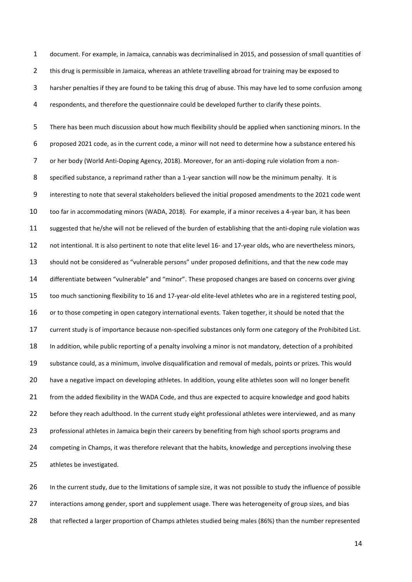document. For example, in Jamaica, cannabis was decriminalised in 2015, and possession of small quantities of 2 this drug is permissible in Jamaica, whereas an athlete travelling abroad for training may be exposed to harsher penalties if they are found to be taking this drug of abuse. This may have led to some confusion among respondents, and therefore the questionnaire could be developed further to clarify these points.

 There has been much discussion about how much flexibility should be applied when sanctioning minors. In the proposed 2021 code, as in the current code, a minor will not need to determine how a substance entered his or her body (World Anti-Doping Agency, 2018). Moreover, for an anti-doping rule violation from a non- specified substance, a reprimand rather than a 1-year sanction will now be the minimum penalty. It is interesting to note that several stakeholders believed the initial proposed amendments to the 2021 code went too far in accommodating minors (WADA, 2018). For example, if a minor receives a 4-year ban, it has been suggested that he/she will not be relieved of the burden of establishing that the anti-doping rule violation was not intentional. It is also pertinent to note that elite level 16- and 17-year olds, who are nevertheless minors, should not be considered as "vulnerable persons" under proposed definitions, and that the new code may differentiate between "vulnerable" and "minor". These proposed changes are based on concerns over giving too much sanctioning flexibility to 16 and 17-year-old elite-level athletes who are in a registered testing pool, or to those competing in open category international events. Taken together, it should be noted that the current study is of importance because non-specified substances only form one category of the Prohibited List. In addition, while public reporting of a penalty involving a minor is not mandatory, detection of a prohibited substance could, as a minimum, involve disqualification and removal of medals, points or prizes. This would have a negative impact on developing athletes. In addition, young elite athletes soon will no longer benefit from the added flexibility in the WADA Code, and thus are expected to acquire knowledge and good habits 22 before they reach adulthood. In the current study eight professional athletes were interviewed, and as many 23 professional athletes in Jamaica begin their careers by benefiting from high school sports programs and competing in Champs, it was therefore relevant that the habits, knowledge and perceptions involving these athletes be investigated.

 In the current study, due to the limitations of sample size, it was not possible to study the influence of possible interactions among gender, sport and supplement usage. There was heterogeneity of group sizes, and bias that reflected a larger proportion of Champs athletes studied being males (86%) than the number represented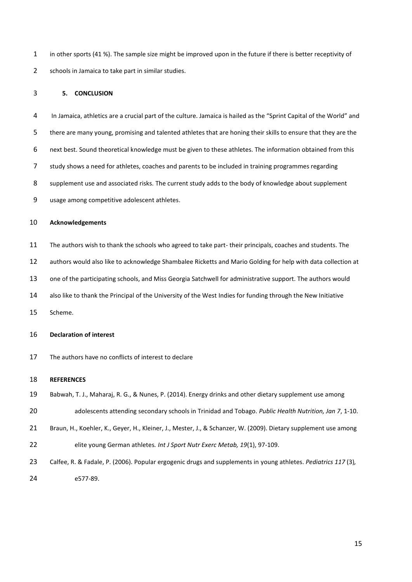in other sports (41 %). The sample size might be improved upon in the future if there is better receptivity of schools in Jamaica to take part in similar studies.

#### **5. CONCLUSION**

 In Jamaica, athletics are a crucial part of the culture. Jamaica is hailed as the "Sprint Capital of the World" and there are many young, promising and talented athletes that are honing their skills to ensure that they are the next best. Sound theoretical knowledge must be given to these athletes. The information obtained from this study shows a need for athletes, coaches and parents to be included in training programmes regarding supplement use and associated risks. The current study adds to the body of knowledge about supplement usage among competitive adolescent athletes.

#### **Acknowledgements**

The authors wish to thank the schools who agreed to take part- their principals, coaches and students. The

authors would also like to acknowledge Shambalee Ricketts and Mario Golding for help with data collection at

one of the participating schools, and Miss Georgia Satchwell for administrative support. The authors would

also like to thank the Principal of the University of the West Indies for funding through the New Initiative

Scheme.

#### **Declaration of interest**

The authors have no conflicts of interest to declare

#### **REFERENCES**

- Babwah, T. J., Maharaj, R. G., & Nunes, P. (2014). Energy drinks and other dietary supplement use among adolescents attending secondary schools in Trinidad and Tobago. *Public Health Nutrition, Jan 7*, 1-10.
- Braun, H., Koehler, K., Geyer, H., Kleiner, J., Mester, J., & Schanzer, W. (2009). Dietary supplement use among elite young German athletes*. Int J Sport Nutr Exerc Metab, 19*(1), 97-109.
- Calfee, R. & Fadale, P. (2006). Popular ergogenic drugs and supplements in young athletes. *Pediatrics 117* (3)*,*  e577-89.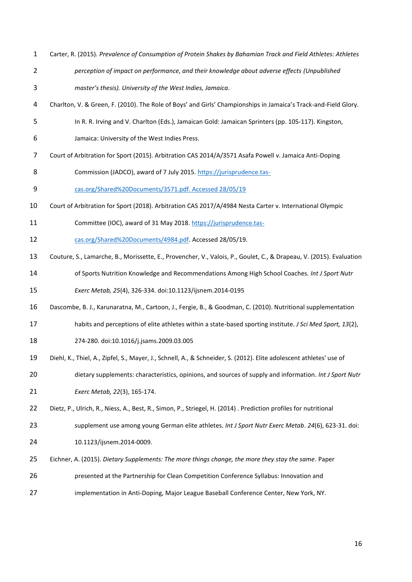- Carter, R. (2015). *Prevalence of Consumption of Protein Shakes by Bahamian Track and Field Athletes: Athletes*
- *perception of impact on performance, and their knowledge about adverse effects (Unpublished*
- *master's thesis). University of the West Indies, Jamaica.*
- Charlton, V. & Green, F. (2010). The Role of Boys' and Girls' Championships in Jamaica's Track-and-Field Glory.
- In R. R. Irving and V. Charlton (Eds.), Jamaican Gold: Jamaican Sprinters (pp. 105-117). Kingston,
- Jamaica: University of the West Indies Press.
- Court of Arbitration for Sport (2015). Arbitration CAS 2014/A/3571 Asafa Powell v. Jamaica Anti-Doping
- Commission (JADCO), award of 7 July 2015. [https://jurisprudence.tas-](https://jurisprudence.tas-cas.org/Shared%20Documents/3571.pdf.%20Accessed%2028/05/19)
- [cas.org/Shared%20Documents/3571.pdf. Accessed 28/05/19](https://jurisprudence.tas-cas.org/Shared%20Documents/3571.pdf.%20Accessed%2028/05/19)
- Court of Arbitration for Sport (2018). Arbitration CAS 2017/A/4984 Nesta Carter v. International Olympic
- Committee (IOC), award of 31 May 2018. [https://jurisprudence.tas-](https://jurisprudence.tas-cas.org/Shared%20Documents/4984.pdf)
- [cas.org/Shared%20Documents/4984.pdf.](https://jurisprudence.tas-cas.org/Shared%20Documents/4984.pdf) Accessed 28/05/19.
- Couture, S., Lamarche, B., Morissette, E., Provencher, V., Valois, P., Goulet, C., & Drapeau, V. (2015). Evaluation
- of Sports Nutrition Knowledge and Recommendations Among High School Coaches. *Int J Sport Nutr*
- *Exerc Metab, 25*(4), 326-334. doi:10.1123/ijsnem.2014-0195
- Dascombe, B. J., Karunaratna, M., Cartoon, J., Fergie, B., & Goodman, C. (2010). Nutritional supplementation
- habits and perceptions of elite athletes within a state-based sporting institute. *J Sci Med Sport, 13*(2),
- 274-280. doi:10.1016/j.jsams.2009.03.005
- Diehl, K., Thiel, A., Zipfel, S., Mayer, J., Schnell, A., & Schneider, S. (2012). Elite adolescent athletes' use of
- dietary supplements: characteristics, opinions, and sources of supply and information. *Int J Sport Nutr Exerc Metab, 22*(3), 165-174.
- Dietz, P., Ulrich, R., Niess, A., Best, R., Simon, P., Striegel, H. (2014) . Prediction profiles for nutritional
- supplement use among young German elite athletes. *Int J Sport Nutr Exerc Metab*. *24*(6), 623-31. doi:
- 10.1123/ijsnem.2014-0009.
- Eichner, A. (2015). *Dietary Supplements: The more things change, the more they stay the same*. Paper
- presented at the Partnership for Clean Competition Conference Syllabus: Innovation and
- implementation in Anti-Doping, Major League Baseball Conference Center, New York, NY.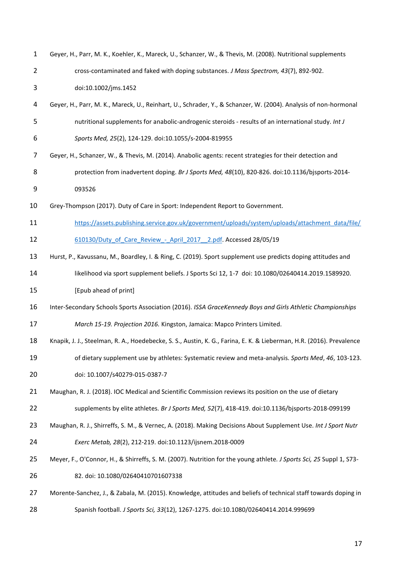| $\mathbf{1}$   | Geyer, H., Parr, M. K., Koehler, K., Mareck, U., Schanzer, W., & Thevis, M. (2008). Nutritional supplements          |
|----------------|----------------------------------------------------------------------------------------------------------------------|
| $\overline{2}$ | cross-contaminated and faked with doping substances. J Mass Spectrom, 43(7), 892-902.                                |
| 3              | doi:10.1002/jms.1452                                                                                                 |
| 4              | Geyer, H., Parr, M. K., Mareck, U., Reinhart, U., Schrader, Y., & Schanzer, W. (2004). Analysis of non-hormonal      |
| 5              | nutritional supplements for anabolic-androgenic steroids - results of an international study. Int J                  |
| 6              | Sports Med, 25(2), 124-129. doi:10.1055/s-2004-819955                                                                |
| 7              | Geyer, H., Schanzer, W., & Thevis, M. (2014). Anabolic agents: recent strategies for their detection and             |
| 8              | protection from inadvertent doping. Br J Sports Med, 48(10), 820-826. doi:10.1136/bjsports-2014-                     |
| 9              | 093526                                                                                                               |
| 10             | Grey-Thompson (2017). Duty of Care in Sport: Independent Report to Government.                                       |
| 11             | https://assets.publishing.service.gov.uk/government/uploads/system/uploads/attachment_data/file/                     |
| 12             | 610130/Duty of Care Review - April 2017 2.pdf. Accessed 28/05/19                                                     |
| 13             | Hurst, P., Kavussanu, M., Boardley, I. & Ring, C. (2019). Sport supplement use predicts doping attitudes and         |
| 14             | likelihood via sport supplement beliefs. J Sports Sci 12, 1-7 doi: 10.1080/02640414.2019.1589920.                    |
| 15             | [Epub ahead of print]                                                                                                |
| 16             | Inter-Secondary Schools Sports Association (2016). ISSA GraceKennedy Boys and Girls Athletic Championships           |
| 17             | March 15-19. Projection 2016. Kingston, Jamaica: Mapco Printers Limited.                                             |
| 18             | Knapik, J. J., Steelman, R. A., Hoedebecke, S. S., Austin, K. G., Farina, E. K. & Lieberman, H.R. (2016). Prevalence |
| 19             | of dietary supplement use by athletes: Systematic review and meta-analysis. Sports Med, 46, 103-123.                 |
| 20             | doi: 10.1007/s40279-015-0387-7                                                                                       |
| 21             | Maughan, R. J. (2018). IOC Medical and Scientific Commission reviews its position on the use of dietary              |
| 22             | supplements by elite athletes. Br J Sports Med, 52(7), 418-419. doi:10.1136/bjsports-2018-099199                     |
| 23             | Maughan, R. J., Shirreffs, S. M., & Vernec, A. (2018). Making Decisions About Supplement Use. Int J Sport Nutr       |
| 24             | Exerc Metab, 28(2), 212-219. doi:10.1123/ijsnem.2018-0009                                                            |
| 25             | Meyer, F., O'Connor, H., & Shirreffs, S. M. (2007). Nutrition for the young athlete. J Sports Sci, 25 Suppl 1, S73-  |
| 26             | 82. doi: 10.1080/02640410701607338                                                                                   |
| 27             | Morente-Sanchez, J., & Zabala, M. (2015). Knowledge, attitudes and beliefs of technical staff towards doping in      |
| 28             | Spanish football. J Sports Sci, 33(12), 1267-1275. doi:10.1080/02640414.2014.999699                                  |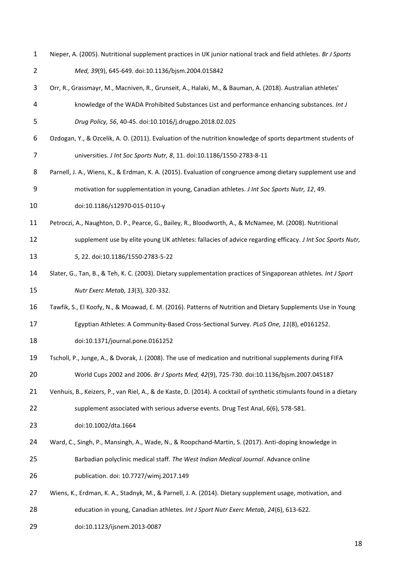Nieper, A. (2005). Nutritional supplement practices in UK junior national track and field athletes. *Br J Sports* 

#### *Med, 39*(9), 645-649. doi:10.1136/bjsm.2004.015842

- Orr, R., Grassmayr, M., Macniven, R., Grunseit, A., Halaki, M., & Bauman, A. (2018). Australian athletes'
- knowledge of the WADA Prohibited Substances List and performance enhancing substances. *Int J*
- *Drug Policy, 56*, 40-45. doi:10.1016/j.drugpo.2018.02.025
- Ozdogan, Y., & Ozcelik, A. O. (2011). Evaluation of the nutrition knowledge of sports department students of universities. *J Int Soc Sports Nutr, 8*, 11. doi:10.1186/1550-2783-8-11
- 8 Parnell, J. A., Wiens, K., & Erdman, K. A. (2015). Evaluation of congruence among dietary supplement use and motivation for supplementation in young, Canadian athletes. *J Int Soc Sports Nutr, 12*, 49.
- doi:10.1186/s12970-015-0110-y
- Petroczi, A., Naughton, D. P., Pearce, G., Bailey, R., Bloodworth, A., & McNamee, M. (2008). Nutritional
- supplement use by elite young UK athletes: fallacies of advice regarding efficacy. *J Int Soc Sports Nutr, 5*, 22. doi:10.1186/1550-2783-5-22
- Slater, G., Tan, B., & Teh, K. C. (2003). Dietary supplementation practices of Singaporean athletes. *Int J Sport Nutr Exerc Metab, 13*(3), 320-332.
- Tawfik, S., El Koofy, N., & Moawad, E. M. (2016). Patterns of Nutrition and Dietary Supplements Use in Young
- Egyptian Athletes: A Community-Based Cross-Sectional Survey. *PLoS One, 11*(8), e0161252.
- doi:10.1371/journal.pone.0161252
- Tscholl, P., Junge, A., & Dvorak, J. (2008). The use of medication and nutritional supplements during FIFA
- World Cups 2002 and 2006. *Br J Sports Med, 42*(9), 725-730. doi:10.1136/bjsm.2007.045187
- Venhuis, B., Keizers, P., van Riel, A., & de Kaste, D. (2014). A cocktail of synthetic stimulants found in a dietary supplement associated with serious adverse events. Drug Test Anal, 6(6), 578-581.
- doi:10.1002/dta.1664
- Ward, C., Singh, P., Mansingh, A., Wade, N., & Roopchand-Martin, S. (2017). Anti-doping knowledge in Barbadian polyclinic medical staff. *The West Indian Medical Journal*. Advance online
- publication. doi: 10.7727/wimj.2017.149
- Wiens, K., Erdman, K. A., Stadnyk, M., & Parnell, J. A. (2014). Dietary supplement usage, motivation, and
- education in young, Canadian athletes. *Int J Sport Nutr Exerc Metab, 24*(6), 613-622.
- doi:10.1123/ijsnem.2013-0087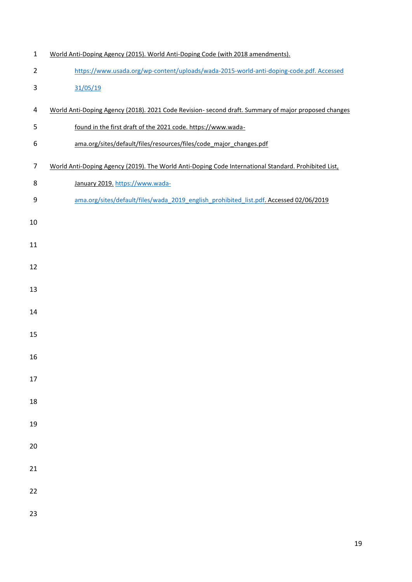| $\mathbf{1}$   | World Anti-Doping Agency (2015). World Anti-Doping Code (with 2018 amendments).                      |
|----------------|------------------------------------------------------------------------------------------------------|
| $\overline{2}$ | https://www.usada.org/wp-content/uploads/wada-2015-world-anti-doping-code.pdf. Accessed              |
| 3              | 31/05/19                                                                                             |
| 4              | World Anti-Doping Agency (2018). 2021 Code Revision-second draft. Summary of major proposed changes  |
| 5              | found in the first draft of the 2021 code. https://www.wada-                                         |
| 6              | ama.org/sites/default/files/resources/files/code major changes.pdf                                   |
| $\overline{7}$ | World Anti-Doping Agency (2019). The World Anti-Doping Code International Standard. Prohibited List, |
| 8              | January 2019. https://www.wada-                                                                      |
| 9              | ama.org/sites/default/files/wada 2019 english prohibited list.pdf. Accessed 02/06/2019               |
| 10             |                                                                                                      |
| 11             |                                                                                                      |
| 12             |                                                                                                      |
| 13             |                                                                                                      |
| 14             |                                                                                                      |
| 15             |                                                                                                      |
| 16             |                                                                                                      |
| 17             |                                                                                                      |
| 18             |                                                                                                      |
| 19             |                                                                                                      |
| 20             |                                                                                                      |
| 21             |                                                                                                      |
| 22             |                                                                                                      |
| 23             |                                                                                                      |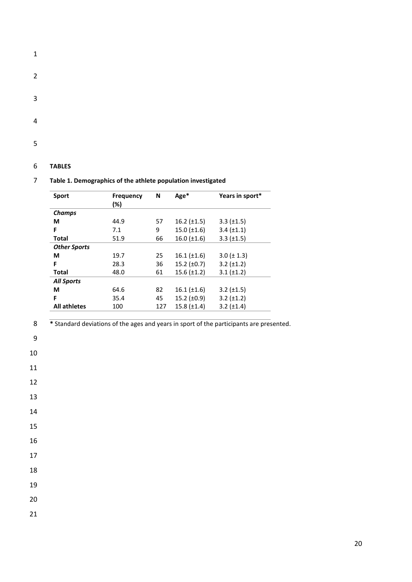- 1
- 
- 2
- 3
- 
- 4
- 5

# 6 **TABLES**

# 7 **Table 1. Demographics of the athlete population investigated**

| <b>Sport</b>        | <b>Frequency</b><br>(%) | N   | Age*                 | Years in sport*              |  |
|---------------------|-------------------------|-----|----------------------|------------------------------|--|
| <b>Champs</b>       |                         |     |                      |                              |  |
| М                   | 44.9                    | 57  | $16.2$ ( $\pm$ 1.5)  | $3.3 \ (\pm 1.5)$            |  |
| F                   | 7.1                     | 9   | $15.0 \ (\pm 1.6)$   | $3.4 \left( \pm 1.1 \right)$ |  |
| <b>Total</b>        | 51.9                    | 66  | $16.0$ ( $\pm$ 1.6)  | $3.3 \ (\pm 1.5)$            |  |
| <b>Other Sports</b> |                         |     |                      |                              |  |
| М                   | 19.7                    | 25  | $16.1 (\pm 1.6)$     | $3.0 (\pm 1.3)$              |  |
| F                   | 28.3                    | 36  | $15.2$ ( $\pm 0.7$ ) | $3.2 \ (\pm 1.2)$            |  |
| Total               | 48.0                    | 61  | $15.6 \ (\pm 1.2)$   | $3.1 (\pm 1.2)$              |  |
| <b>All Sports</b>   |                         |     |                      |                              |  |
| М                   | 64.6                    | 82  | $16.1 (\pm 1.6)$     | $3.2$ ( $\pm 1.5$ )          |  |
| F                   | 35.4                    | 45  | $15.2 \ (\pm 0.9)$   | $3.2 \ (\pm 1.2)$            |  |
| <b>All athletes</b> | 100                     | 127 | $15.8 \ (\pm 1.4)$   | $3.2$ ( $\pm$ 1.4)           |  |
|                     |                         |     |                      |                              |  |

# 8 **\*** Standard deviations of the ages and years in sport of the participants are presented.

9

12

13

14

15

16

17

18

19

20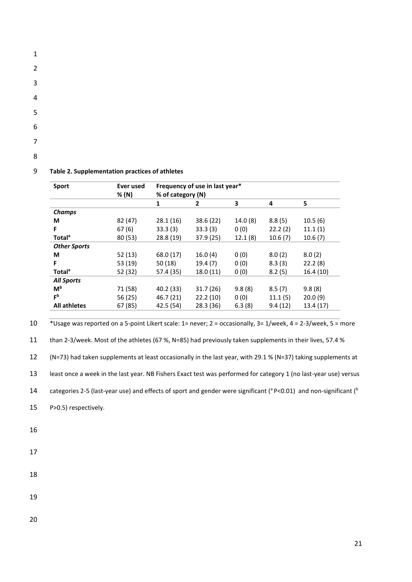- 1 2 3 4 5 6
- 7
- 8

| <b>Sport</b>        | Ever used<br>% (N) | % of category (N) | Frequency of use in last year* |         |         |          |
|---------------------|--------------------|-------------------|--------------------------------|---------|---------|----------|
|                     |                    | 1                 | 2                              | 3       | 4       | 5        |
| <b>Champs</b>       |                    |                   |                                |         |         |          |
| М                   | 82 (47)            | 28.1(16)          | 38.6(22)                       | 14.0(8) | 8.8(5)  | 10.5(6)  |
| F                   | 67(6)              | 33.3(3)           | 33.3(3)                        | 0(0)    | 22.2(2) | 11.1(1)  |
| Total <sup>a</sup>  | 80 (53)            | 28.8(19)          | 37.9 (25)                      | 12.1(8) | 10.6(7) | 10.6(7)  |
| <b>Other Sports</b> |                    |                   |                                |         |         |          |
| М                   | 52(13)             | 68.0 (17)         | 16.0(4)                        | 0(0)    | 8.0(2)  | 8.0(2)   |
| F                   | 53 (19)            | 50(18)            | 19.4(7)                        | 0(0)    | 8.3(3)  | 22.2(8)  |
| Total <sup>a</sup>  | 52 (32)            | 57.4 (35)         | 18.0(11)                       | 0(0)    | 8.2(5)  | 16.4(10) |
| <b>All Sports</b>   |                    |                   |                                |         |         |          |
| M <sub>p</sub>      | 71 (58)            | 40.2 (33)         | 31.7(26)                       | 9.8(8)  | 8.5(7)  | 9.8(8)   |
| Fb                  | 56 (25)            | 46.7 (21)         | 22.2(10)                       | 0(0)    | 11.1(5) | 20.0(9)  |
| <b>All athletes</b> | 67 (85)            | 42.5 (54)         | 28.3(36)                       | 6.3(8)  | 9.4(12) | 13.4(17) |

## 9 **Table 2. Supplementation practices of athletes**

10 \*Usage was reported on a 5-point Likert scale: 1= never; 2 = occasionally, 3= 1/week, 4 = 2-3/week, 5 = more

11 than 2-3/week. Most of the athletes (67 %, N=85) had previously taken supplements in their lives, 57.4 %

12 (N=73) had taken supplements at least occasionally in the last year, with 29.1 % (N=37) taking supplements at

13 least once a week in the last year. NB Fishers Exact test was performed for category 1 (no last-year use) versus

14 categories 2-5 (last-year use) and effects of sport and gender were significant (<sup>a</sup> P<0.01) and non-significant ( $^b$ 

15 P>0.5) respectively.

16

- 17
- 18

19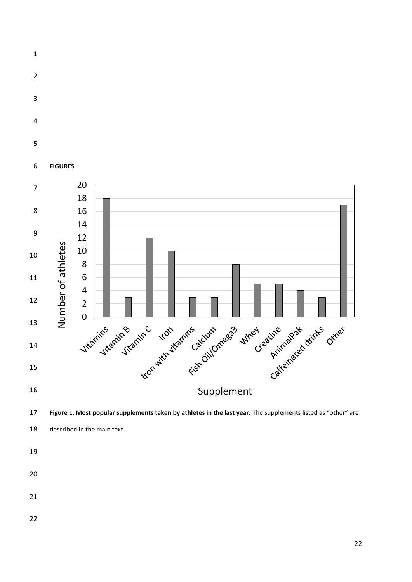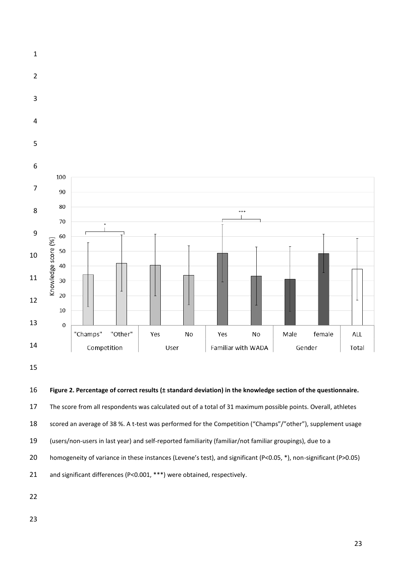

```
15
```


The score from all respondents was calculated out of a total of 31 maximum possible points. Overall, athletes

scored an average of 38 %. A t-test was performed for the Competition ("Champs"/"other"), supplement usage

(users/non-users in last year) and self-reported familiarity (familiar/not familiar groupings), due to a

20 homogeneity of variance in these instances (Levene's test), and significant (P<0.05, \*), non-significant (P>0.05)

and significant differences (P<0.001, \*\*\*) were obtained, respectively.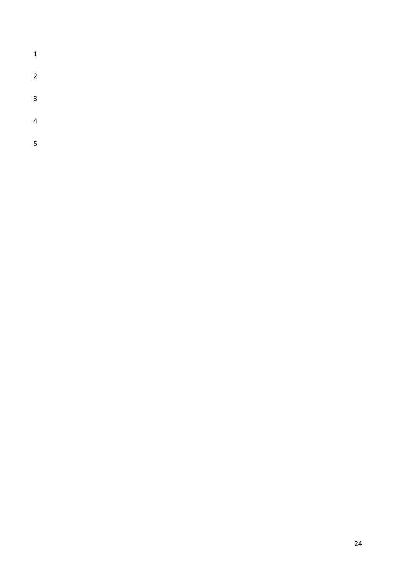- $\mathbf{1}$
- $\overline{c}$
- 12345 $\overline{3}$
- $\overline{4}$
- $\overline{\mathbf{5}}$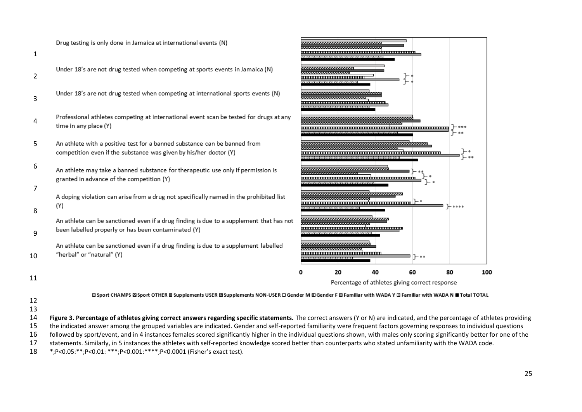| 1        | Drug testing is only done in Jamaica at international events (N)                                                                                                                                                                                                                                                                               |    |    |                                                |    |     |  |
|----------|------------------------------------------------------------------------------------------------------------------------------------------------------------------------------------------------------------------------------------------------------------------------------------------------------------------------------------------------|----|----|------------------------------------------------|----|-----|--|
| 2        | Under 18's are not drug tested when competing at sports events in Jamaica (N)                                                                                                                                                                                                                                                                  |    |    |                                                |    |     |  |
| 3        | Under 18's are not drug tested when competing at international sports events (N)                                                                                                                                                                                                                                                               |    |    |                                                |    |     |  |
| 4        | Professional athletes competing at international event scan be tested for drugs at any<br>time in any place (Y)                                                                                                                                                                                                                                |    |    |                                                |    |     |  |
| 5        | An athlete with a positive test for a banned substance can be banned from<br>competition even if the substance was given by his/her doctor (Y)                                                                                                                                                                                                 |    |    | <del>immmmmmm</del>                            |    |     |  |
| 6        | An athlete may take a banned substance for therapeutic use only if permission is<br>granted in advance of the competition (Y)                                                                                                                                                                                                                  |    |    |                                                |    |     |  |
| 7<br>8   | A doping violation can arise from a drug not specifically named in the prohibited list<br>(Y)                                                                                                                                                                                                                                                  |    |    |                                                |    |     |  |
| 9        | An athlete can be sanctioned even if a drug finding is due to a supplement that has not<br>been labelled properly or has been contaminated (Y)                                                                                                                                                                                                 |    |    |                                                |    |     |  |
| 10       | An athlete can be sanctioned even if a drug finding is due to a supplement labelled<br>"herbal" or "natural" (Y)                                                                                                                                                                                                                               |    |    |                                                |    |     |  |
|          |                                                                                                                                                                                                                                                                                                                                                | 20 | 40 | 60                                             | 80 | 100 |  |
| 11       |                                                                                                                                                                                                                                                                                                                                                |    |    | Percentage of athletes giving correct response |    |     |  |
| 12<br>13 | □ Sport CHAMPS ØSport OTHER ■ Supplements USER & Supplements NON-USER □ Gender M Ⅲ Gender F ■ Familiar with WADA Y @ Familiar with WADA N ■ Total TOTAL                                                                                                                                                                                        |    |    |                                                |    |     |  |
| 14       | Figure 3. Percentage of athletes giving correct answers regarding specific statements. The correct answers (Y or N) are indicated, and the percentage of athletes providing                                                                                                                                                                    |    |    |                                                |    |     |  |
| 15<br>16 | the indicated answer among the grouped variables are indicated. Gender and self-reported familiarity were frequent factors governing responses to individual questions                                                                                                                                                                         |    |    |                                                |    |     |  |
| 17       | followed by sport/event, and in 4 instances females scored significantly higher in the individual questions shown, with males only scoring significantly better for one of the<br>statements. Similarly, in 5 instances the athletes with self-reported knowledge scored better than counterparts who stated unfamiliarity with the WADA code. |    |    |                                                |    |     |  |
| 18       | *;P<0.05:**;P<0.01: ***;P<0.001: ****;P<0.0001 (Fisher's exact test).                                                                                                                                                                                                                                                                          |    |    |                                                |    |     |  |